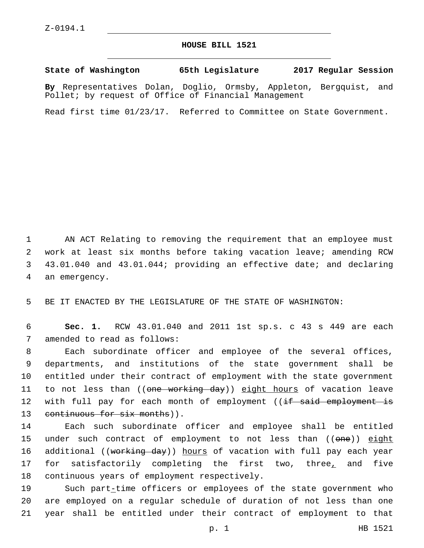## **HOUSE BILL 1521**

**State of Washington 65th Legislature 2017 Regular Session**

**By** Representatives Dolan, Doglio, Ormsby, Appleton, Bergquist, and Pollet; by request of Office of Financial Management

Read first time 01/23/17. Referred to Committee on State Government.

 AN ACT Relating to removing the requirement that an employee must work at least six months before taking vacation leave; amending RCW 43.01.040 and 43.01.044; providing an effective date; and declaring 4 an emergency.

5 BE IT ENACTED BY THE LEGISLATURE OF THE STATE OF WASHINGTON:

6 **Sec. 1.** RCW 43.01.040 and 2011 1st sp.s. c 43 s 449 are each 7 amended to read as follows:

8 Each subordinate officer and employee of the several offices, 9 departments, and institutions of the state government shall be 10 entitled under their contract of employment with the state government 11 to not less than ((<del>one working day</del>)) <u>eight hours</u> of vacation leave 12 with full pay for each month of employment ((<del>if said employment is</del> 13 continuous for six months)).

14 Each such subordinate officer and employee shall be entitled 15 under such contract of employment to not less than ((one)) eight 16 additional ((<del>working day</del>)) hours of vacation with full pay each year 17 for satisfactorily completing the first two, three<u>,</u> and five 18 continuous years of employment respectively.

19 Such part-time officers or employees of the state government who 20 are employed on a regular schedule of duration of not less than one 21 year shall be entitled under their contract of employment to that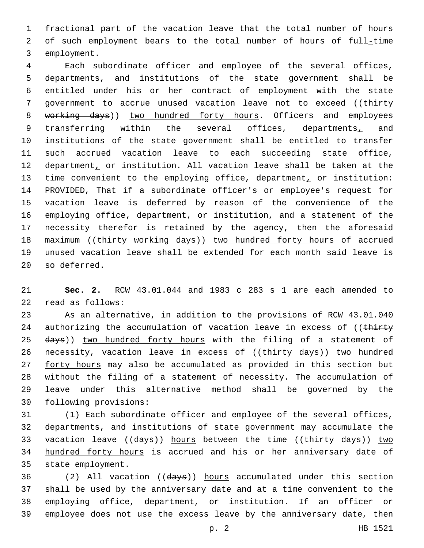1 fractional part of the vacation leave that the total number of hours 2 of such employment bears to the total number of hours of full-time 3 employment.

4 Each subordinate officer and employee of the several offices, 5 departments, and institutions of the state government shall be 6 entitled under his or her contract of employment with the state 7 government to accrue unused vacation leave not to exceed ((thirty 8 working days)) two hundred forty hours. Officers and employees 9 transferring within the several offices, departments, and 10 institutions of the state government shall be entitled to transfer 11 such accrued vacation leave to each succeeding state office, 12 department, or institution. All vacation leave shall be taken at the 13 time convenient to the employing office, department, or institution: 14 PROVIDED, That if a subordinate officer's or employee's request for 15 vacation leave is deferred by reason of the convenience of the 16 employing office, department, or institution, and a statement of the 17 necessity therefor is retained by the agency, then the aforesaid 18 maximum ((thirty working days)) two hundred forty hours of accrued 19 unused vacation leave shall be extended for each month said leave is 20 so deferred.

21 **Sec. 2.** RCW 43.01.044 and 1983 c 283 s 1 are each amended to read as follows:22

23 As an alternative, in addition to the provisions of RCW 43.01.040 24 authorizing the accumulation of vacation leave in excess of ((thirty 25 days)) two hundred forty hours with the filing of a statement of 26 necessity, vacation leave in excess of ((thirty days)) two hundred 27 forty hours may also be accumulated as provided in this section but 28 without the filing of a statement of necessity. The accumulation of 29 leave under this alternative method shall be governed by the 30 following provisions:

31 (1) Each subordinate officer and employee of the several offices, 32 departments, and institutions of state government may accumulate the 33 vacation leave ((days)) hours between the time ((thirty days)) two 34 hundred forty hours is accrued and his or her anniversary date of 35 state employment.

 (2) All vacation ((days)) hours accumulated under this section shall be used by the anniversary date and at a time convenient to the employing office, department, or institution. If an officer or employee does not use the excess leave by the anniversary date, then